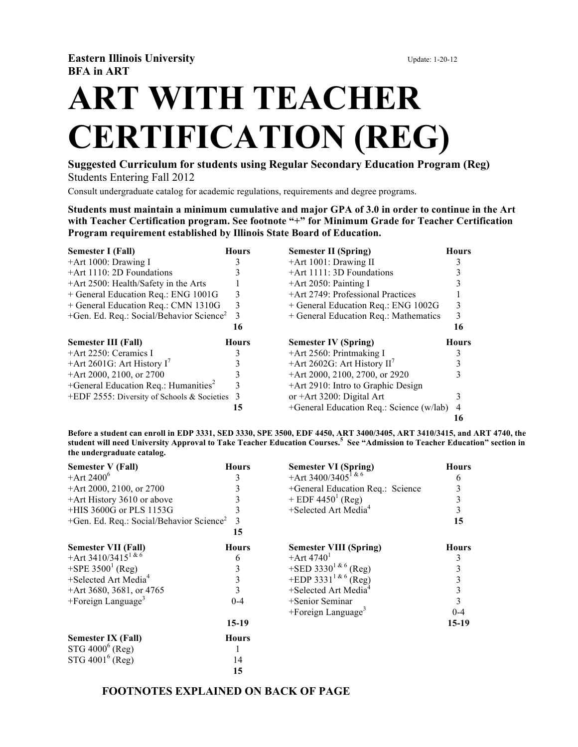# **ART WITH TEACHER CERTIFICATION (REG)**

**Suggested Curriculum for students using Regular Secondary Education Program (Reg)** Students Entering Fall 2012

Consult undergraduate catalog for academic regulations, requirements and degree programs.

**Students must maintain a minimum cumulative and major GPA of 3.0 in order to continue in the Art with Teacher Certification program. See footnote "+" for Minimum Grade for Teacher Certification Program requirement established by Illinois State Board of Education.**

| Semester I (Fall)                                    | Hours        | <b>Semester II (Spring)</b>              | <b>Hours</b> |
|------------------------------------------------------|--------------|------------------------------------------|--------------|
| $+$ Art 1000: Drawing I                              |              | +Art 1001: Drawing II                    |              |
| +Art 1110: 2D Foundations                            |              | +Art 1111: 3D Foundations                |              |
| +Art 2500: Health/Safety in the Arts                 |              | $+$ Art 2050: Painting I                 |              |
| + General Education Req.: ENG 1001G                  | 3            | +Art 2749: Professional Practices        |              |
| + General Education Req.: CMN 1310G                  | 3            | + General Education Req.: ENG 1002G      | 3            |
| +Gen. Ed. Req.: Social/Behavior Science <sup>2</sup> | 3            | + General Education Req.: Mathematics    | 3            |
|                                                      | 16           |                                          | 16           |
| <b>Semester III (Fall)</b>                           | <b>Hours</b> | <b>Semester IV (Spring)</b>              | <b>Hours</b> |
| $+$ Art 2250: Ceramics I                             |              | +Art 2560: Printmaking I                 |              |
| +Art 2601G: Art History $I'$                         |              | +Art 2602G: Art History $II'$            |              |
| +Art 2000, 2100, or 2700                             |              | +Art 2000, 2100, 2700, or 2920           |              |
|                                                      |              |                                          |              |
| +General Education Req.: Humanities <sup>2</sup>     | 3            | +Art 2910: Intro to Graphic Design       |              |
| +EDF 2555: Diversity of Schools & Societies $3$      |              | or $+Art 3200$ : Digital Art             |              |
|                                                      | 15           | +General Education Req.: Science (w/lab) | 4            |

**Before a student can enroll in EDP 3331, SED 3330, SPE 3500, EDF 4450, ART 3400/3405, ART 3410/3415, and ART 4740, the student will need University Approval to Take Teacher Education Courses.<sup>5</sup> See "Admission to Teacher Education" section in the undergraduate catalog.**

| <b>Semester V (Fall)</b>                                | <b>Hours</b> | <b>Semester VI (Spring)</b>          | <b>Hours</b> |
|---------------------------------------------------------|--------------|--------------------------------------|--------------|
| +Art $2400^6$                                           |              | +Art 3400/3405 <sup>1 &amp; 6</sup>  | 6            |
| +Art 2000, 2100, or 2700                                |              | +General Education Req.: Science     | 3            |
| +Art History 3610 or above                              |              | + EDF $4450^1$ (Reg)                 | 3            |
| +HIS 3600G or PLS 1153G                                 |              | $+$ Selected Art Media <sup>4</sup>  | 3            |
| $+$ Gen. Ed. Req.: Social/Behavior Science <sup>2</sup> | 3            |                                      | 15           |
|                                                         | 15           |                                      |              |
| <b>Semester VII (Fall)</b>                              | <b>Hours</b> | <b>Semester VIII (Spring)</b>        | <b>Hours</b> |
| +Art 3410/3415 <sup>1 &amp; 6</sup>                     | 6            | $+$ Art 4740 <sup>1</sup>            | 3            |
| +SPE $3500^1$ (Reg)                                     |              | +SED 3330 <sup>1 &amp; 6</sup> (Reg) | 3            |
| $+$ Selected Art Media <sup>4</sup>                     |              | +EDP 3331 <sup>1 &amp; 6</sup> (Reg) | 3            |
| +Art 3680, 3681, or 4765                                |              | +Selected Art Media <sup>4</sup>     | 3            |
| $+$ Foreign Language <sup>3</sup>                       | $0 - 4$      | +Senior Seminar                      | 3            |
|                                                         |              | $+$ Foreign Language <sup>3</sup>    | $0 - 4$      |
|                                                         | 15-19        |                                      | $15-19$      |
| <b>Semester IX (Fall)</b>                               | <b>Hours</b> |                                      |              |
| $STG 4000^6$ (Reg)                                      |              |                                      |              |
| $STG 4001^6$ (Reg)                                      | 14           |                                      |              |
|                                                         | 15           |                                      |              |

### **FOOTNOTES EXPLAINED ON BACK OF PAGE**